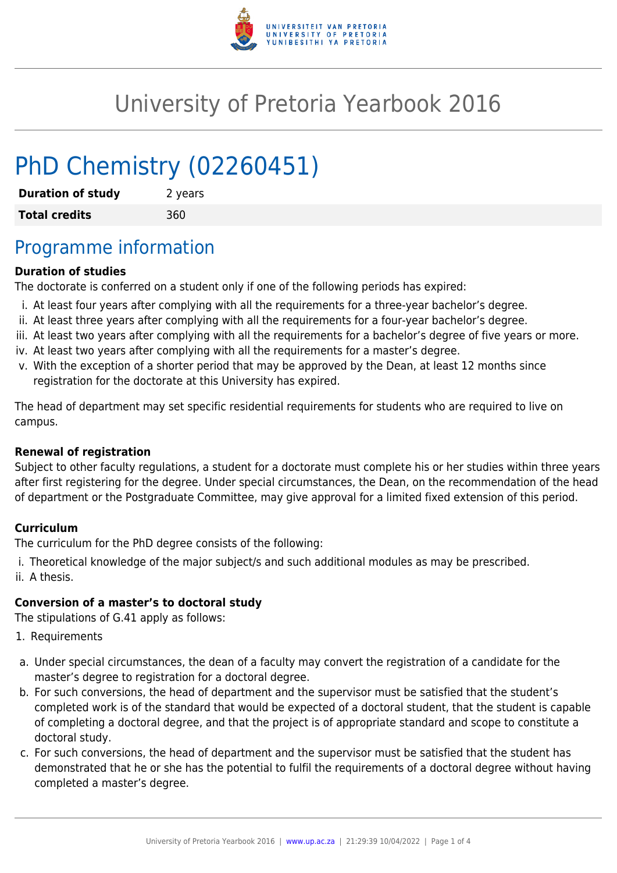

# University of Pretoria Yearbook 2016

# PhD Chemistry (02260451)

| <b>Duration of study</b> | 2 years |
|--------------------------|---------|
| <b>Total credits</b>     | 360     |

## Programme information

#### **Duration of studies**

The doctorate is conferred on a student only if one of the following periods has expired:

- i. At least four years after complying with all the requirements for a three-year bachelor's degree.
- ii. At least three years after complying with all the requirements for a four-year bachelor's degree.
- iii. At least two years after complying with all the requirements for a bachelor's degree of five years or more.
- iv. At least two years after complying with all the requirements for a master's degree.
- v. With the exception of a shorter period that may be approved by the Dean, at least 12 months since registration for the doctorate at this University has expired.

The head of department may set specific residential requirements for students who are required to live on campus.

#### **Renewal of registration**

Subject to other faculty regulations, a student for a doctorate must complete his or her studies within three years after first registering for the degree. Under special circumstances, the Dean, on the recommendation of the head of department or the Postgraduate Committee, may give approval for a limited fixed extension of this period.

#### **Curriculum**

The curriculum for the PhD degree consists of the following:

i. Theoretical knowledge of the major subject/s and such additional modules as may be prescribed. ii. A thesis.

#### **Conversion of a master's to doctoral study**

The stipulations of G.41 apply as follows:

- 1. Requirements
- a. Under special circumstances, the dean of a faculty may convert the registration of a candidate for the master's degree to registration for a doctoral degree.
- b. For such conversions, the head of department and the supervisor must be satisfied that the student's completed work is of the standard that would be expected of a doctoral student, that the student is capable of completing a doctoral degree, and that the project is of appropriate standard and scope to constitute a doctoral study.
- c. For such conversions, the head of department and the supervisor must be satisfied that the student has demonstrated that he or she has the potential to fulfil the requirements of a doctoral degree without having completed a master's degree.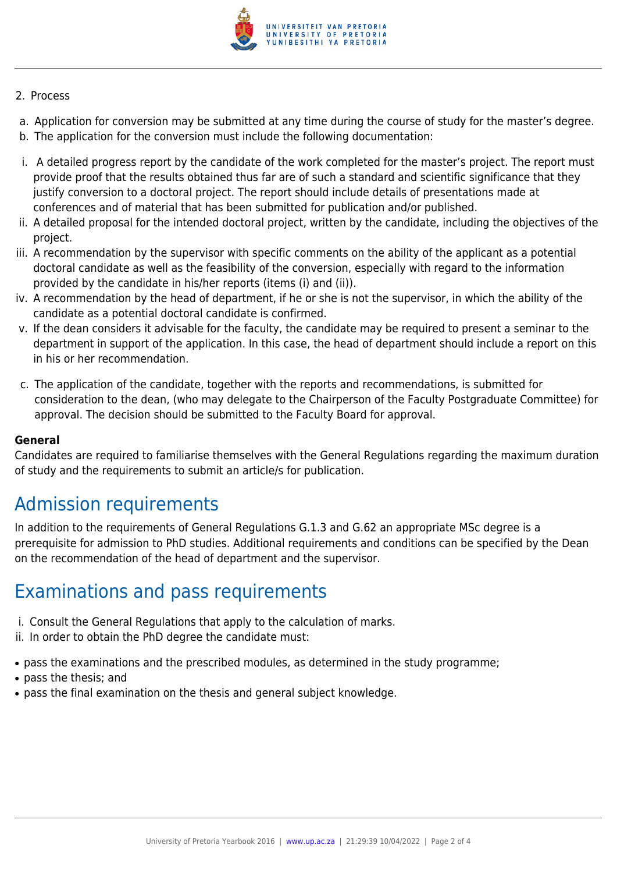

#### 2. Process

- a. Application for conversion may be submitted at any time during the course of study for the master's degree.
- b. The application for the conversion must include the following documentation:
- i. A detailed progress report by the candidate of the work completed for the master's project. The report must provide proof that the results obtained thus far are of such a standard and scientific significance that they justify conversion to a doctoral project. The report should include details of presentations made at conferences and of material that has been submitted for publication and/or published.
- ii. A detailed proposal for the intended doctoral project, written by the candidate, including the objectives of the project.
- iii. A recommendation by the supervisor with specific comments on the ability of the applicant as a potential doctoral candidate as well as the feasibility of the conversion, especially with regard to the information provided by the candidate in his/her reports (items (i) and (ii)).
- iv. A recommendation by the head of department, if he or she is not the supervisor, in which the ability of the candidate as a potential doctoral candidate is confirmed.
- v. If the dean considers it advisable for the faculty, the candidate may be required to present a seminar to the department in support of the application. In this case, the head of department should include a report on this in his or her recommendation.
- c. The application of the candidate, together with the reports and recommendations, is submitted for consideration to the dean, (who may delegate to the Chairperson of the Faculty Postgraduate Committee) for approval. The decision should be submitted to the Faculty Board for approval.

#### **General**

Candidates are required to familiarise themselves with the General Regulations regarding the maximum duration of study and the requirements to submit an article/s for publication.

## Admission requirements

In addition to the requirements of General Regulations G.1.3 and G.62 an appropriate MSc degree is a prerequisite for admission to PhD studies. Additional requirements and conditions can be specified by the Dean on the recommendation of the head of department and the supervisor.

### Examinations and pass requirements

- i. Consult the General Regulations that apply to the calculation of marks.
- ii. In order to obtain the PhD degree the candidate must:
- pass the examinations and the prescribed modules, as determined in the study programme;
- pass the thesis: and
- pass the final examination on the thesis and general subject knowledge.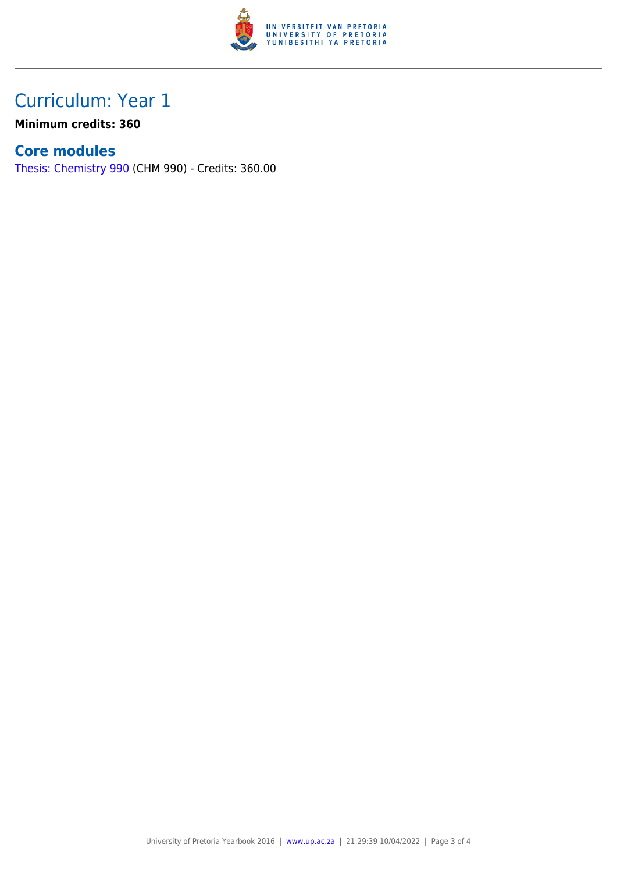

## Curriculum: Year 1

**Minimum credits: 360**

### **Core modules**

[Thesis: Chemistry 990](https://www.up.ac.za/faculty-of-education/yearbooks/2016/modules/view/CHM 990) (CHM 990) - Credits: 360.00